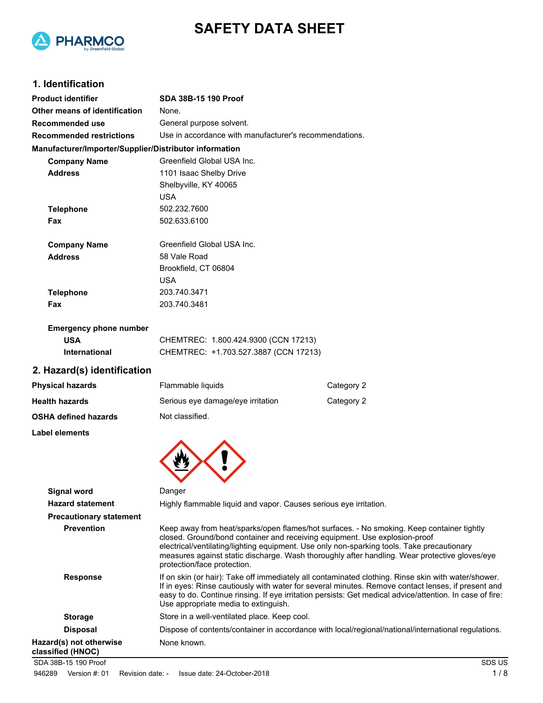



## **1. Identification**

| <b>Product identifier</b>                              | <b>SDA 38B-15 190 Proof</b>                                                                                                                                                                                                                                                                                                                                                                           |            |
|--------------------------------------------------------|-------------------------------------------------------------------------------------------------------------------------------------------------------------------------------------------------------------------------------------------------------------------------------------------------------------------------------------------------------------------------------------------------------|------------|
| Other means of identification                          | None.                                                                                                                                                                                                                                                                                                                                                                                                 |            |
| Recommended use                                        | General purpose solvent.                                                                                                                                                                                                                                                                                                                                                                              |            |
| <b>Recommended restrictions</b>                        | Use in accordance with manufacturer's recommendations.                                                                                                                                                                                                                                                                                                                                                |            |
| Manufacturer/Importer/Supplier/Distributor information |                                                                                                                                                                                                                                                                                                                                                                                                       |            |
| <b>Company Name</b>                                    | Greenfield Global USA Inc.                                                                                                                                                                                                                                                                                                                                                                            |            |
| <b>Address</b>                                         | 1101 Isaac Shelby Drive                                                                                                                                                                                                                                                                                                                                                                               |            |
|                                                        | Shelbyville, KY 40065                                                                                                                                                                                                                                                                                                                                                                                 |            |
|                                                        | <b>USA</b>                                                                                                                                                                                                                                                                                                                                                                                            |            |
| <b>Telephone</b>                                       | 502.232.7600                                                                                                                                                                                                                                                                                                                                                                                          |            |
| Fax                                                    | 502.633.6100                                                                                                                                                                                                                                                                                                                                                                                          |            |
| <b>Company Name</b>                                    | Greenfield Global USA Inc.                                                                                                                                                                                                                                                                                                                                                                            |            |
| <b>Address</b>                                         | 58 Vale Road                                                                                                                                                                                                                                                                                                                                                                                          |            |
|                                                        | Brookfield, CT 06804                                                                                                                                                                                                                                                                                                                                                                                  |            |
|                                                        | <b>USA</b>                                                                                                                                                                                                                                                                                                                                                                                            |            |
| <b>Telephone</b>                                       | 203.740.3471                                                                                                                                                                                                                                                                                                                                                                                          |            |
| Fax                                                    | 203.740.3481                                                                                                                                                                                                                                                                                                                                                                                          |            |
| <b>Emergency phone number</b>                          |                                                                                                                                                                                                                                                                                                                                                                                                       |            |
| <b>USA</b>                                             | CHEMTREC: 1.800.424.9300 (CCN 17213)                                                                                                                                                                                                                                                                                                                                                                  |            |
| International                                          | CHEMTREC: +1.703.527.3887 (CCN 17213)                                                                                                                                                                                                                                                                                                                                                                 |            |
| 2. Hazard(s) identification                            |                                                                                                                                                                                                                                                                                                                                                                                                       |            |
| <b>Physical hazards</b>                                | Flammable liquids                                                                                                                                                                                                                                                                                                                                                                                     | Category 2 |
| <b>Health hazards</b>                                  | Serious eye damage/eye irritation                                                                                                                                                                                                                                                                                                                                                                     | Category 2 |
| <b>OSHA defined hazards</b>                            | Not classified.                                                                                                                                                                                                                                                                                                                                                                                       |            |
| Label elements                                         |                                                                                                                                                                                                                                                                                                                                                                                                       |            |
|                                                        |                                                                                                                                                                                                                                                                                                                                                                                                       |            |
| <b>Signal word</b>                                     | Danger                                                                                                                                                                                                                                                                                                                                                                                                |            |
| <b>Hazard statement</b>                                | Highly flammable liquid and vapor. Causes serious eye irritation.                                                                                                                                                                                                                                                                                                                                     |            |
| <b>Precautionary statement</b>                         |                                                                                                                                                                                                                                                                                                                                                                                                       |            |
| <b>Prevention</b>                                      | Keep away from heat/sparks/open flames/hot surfaces. - No smoking. Keep container tightly<br>closed. Ground/bond container and receiving equipment. Use explosion-proof<br>electrical/ventilating/lighting equipment. Use only non-sparking tools. Take precautionary<br>measures against static discharge. Wash thoroughly after handling. Wear protective gloves/eye<br>protection/face protection. |            |
| <b>Response</b>                                        | If on skin (or hair): Take off immediately all contaminated clothing. Rinse skin with water/shower.<br>If in eyes: Rinse cautiously with water for several minutes. Remove contact lenses, if present and<br>easy to do. Continue rinsing. If eye irritation persists: Get medical advice/attention. In case of fire:                                                                                 |            |

Use appropriate media to extinguish.

None known.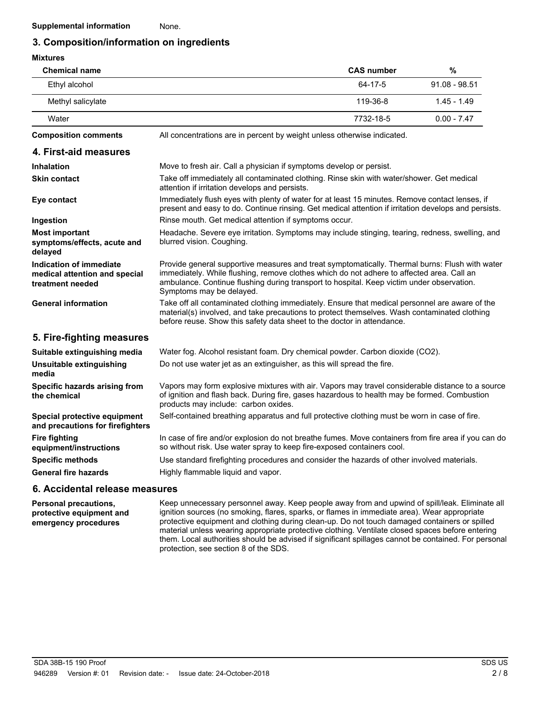## **3. Composition/information on ingredients**

| <b>Mixtures</b>                                                              |                                                                                                                                                                                                                                                                                                                      |                   |                 |
|------------------------------------------------------------------------------|----------------------------------------------------------------------------------------------------------------------------------------------------------------------------------------------------------------------------------------------------------------------------------------------------------------------|-------------------|-----------------|
| <b>Chemical name</b>                                                         |                                                                                                                                                                                                                                                                                                                      | <b>CAS number</b> | $\%$            |
| Ethyl alcohol                                                                |                                                                                                                                                                                                                                                                                                                      | 64-17-5           | $91.08 - 98.51$ |
| Methyl salicylate                                                            |                                                                                                                                                                                                                                                                                                                      | 119-36-8          | $1.45 - 1.49$   |
| Water                                                                        |                                                                                                                                                                                                                                                                                                                      | 7732-18-5         | $0.00 - 7.47$   |
| <b>Composition comments</b>                                                  | All concentrations are in percent by weight unless otherwise indicated.                                                                                                                                                                                                                                              |                   |                 |
| 4. First-aid measures                                                        |                                                                                                                                                                                                                                                                                                                      |                   |                 |
| <b>Inhalation</b>                                                            | Move to fresh air. Call a physician if symptoms develop or persist.                                                                                                                                                                                                                                                  |                   |                 |
| <b>Skin contact</b>                                                          | Take off immediately all contaminated clothing. Rinse skin with water/shower. Get medical<br>attention if irritation develops and persists.                                                                                                                                                                          |                   |                 |
| Eye contact                                                                  | Immediately flush eyes with plenty of water for at least 15 minutes. Remove contact lenses, if<br>present and easy to do. Continue rinsing. Get medical attention if irritation develops and persists.                                                                                                               |                   |                 |
| Ingestion                                                                    | Rinse mouth. Get medical attention if symptoms occur.                                                                                                                                                                                                                                                                |                   |                 |
| <b>Most important</b><br>symptoms/effects, acute and<br>delayed              | Headache. Severe eye irritation. Symptoms may include stinging, tearing, redness, swelling, and<br>blurred vision. Coughing.                                                                                                                                                                                         |                   |                 |
| Indication of immediate<br>medical attention and special<br>treatment needed | Provide general supportive measures and treat symptomatically. Thermal burns: Flush with water<br>immediately. While flushing, remove clothes which do not adhere to affected area. Call an<br>ambulance. Continue flushing during transport to hospital. Keep victim under observation.<br>Symptoms may be delayed. |                   |                 |
| <b>General information</b>                                                   | Take off all contaminated clothing immediately. Ensure that medical personnel are aware of the<br>material(s) involved, and take precautions to protect themselves. Wash contaminated clothing<br>before reuse. Show this safety data sheet to the doctor in attendance.                                             |                   |                 |
| 5. Fire-fighting measures                                                    |                                                                                                                                                                                                                                                                                                                      |                   |                 |
| Suitable extinguishing media                                                 | Water fog. Alcohol resistant foam. Dry chemical powder. Carbon dioxide (CO2).                                                                                                                                                                                                                                        |                   |                 |
| Unsuitable extinguishing<br>media                                            | Do not use water jet as an extinguisher, as this will spread the fire.                                                                                                                                                                                                                                               |                   |                 |
| Specific hazards arising from<br>the chemical                                | Vapors may form explosive mixtures with air. Vapors may travel considerable distance to a source<br>of ignition and flash back. During fire, gases hazardous to health may be formed. Combustion<br>products may include: carbon oxides.                                                                             |                   |                 |
| Special protective equipment<br>and precautions for firefighters             | Self-contained breathing apparatus and full protective clothing must be worn in case of fire.                                                                                                                                                                                                                        |                   |                 |
| <b>Fire fighting</b><br>equipment/instructions                               | In case of fire and/or explosion do not breathe fumes. Move containers from fire area if you can do<br>so without risk. Use water spray to keep fire-exposed containers cool.                                                                                                                                        |                   |                 |
| <b>Specific methods</b><br><b>General fire hazards</b>                       | Use standard firefighting procedures and consider the hazards of other involved materials.<br>Highly flammable liquid and vapor.                                                                                                                                                                                     |                   |                 |
|                                                                              |                                                                                                                                                                                                                                                                                                                      |                   |                 |

### **6. Accidental release measures**

**Personal precautions, protective equipment and emergency procedures**

Keep unnecessary personnel away. Keep people away from and upwind of spill/leak. Eliminate all ignition sources (no smoking, flares, sparks, or flames in immediate area). Wear appropriate protective equipment and clothing during clean-up. Do not touch damaged containers or spilled material unless wearing appropriate protective clothing. Ventilate closed spaces before entering them. Local authorities should be advised if significant spillages cannot be contained. For personal protection, see section 8 of the SDS.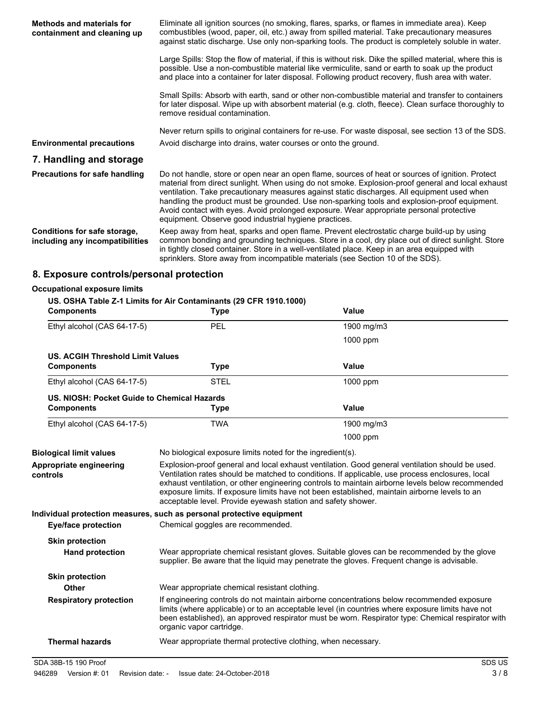| Methods and materials for<br>containment and cleaning up        | Eliminate all ignition sources (no smoking, flares, sparks, or flames in immediate area). Keep<br>combustibles (wood, paper, oil, etc.) away from spilled material. Take precautionary measures<br>against static discharge. Use only non-sparking tools. The product is completely soluble in water.                                                                                                                                                                                                                                                    |
|-----------------------------------------------------------------|----------------------------------------------------------------------------------------------------------------------------------------------------------------------------------------------------------------------------------------------------------------------------------------------------------------------------------------------------------------------------------------------------------------------------------------------------------------------------------------------------------------------------------------------------------|
|                                                                 | Large Spills: Stop the flow of material, if this is without risk. Dike the spilled material, where this is<br>possible. Use a non-combustible material like vermiculite, sand or earth to soak up the product<br>and place into a container for later disposal. Following product recovery, flush area with water.                                                                                                                                                                                                                                       |
|                                                                 | Small Spills: Absorb with earth, sand or other non-combustible material and transfer to containers<br>for later disposal. Wipe up with absorbent material (e.g. cloth, fleece). Clean surface thoroughly to<br>remove residual contamination.                                                                                                                                                                                                                                                                                                            |
| <b>Environmental precautions</b>                                | Never return spills to original containers for re-use. For waste disposal, see section 13 of the SDS.<br>Avoid discharge into drains, water courses or onto the ground.                                                                                                                                                                                                                                                                                                                                                                                  |
| 7. Handling and storage                                         |                                                                                                                                                                                                                                                                                                                                                                                                                                                                                                                                                          |
| <b>Precautions for safe handling</b>                            | Do not handle, store or open near an open flame, sources of heat or sources of ignition. Protect<br>material from direct sunlight. When using do not smoke. Explosion-proof general and local exhaust<br>ventilation. Take precautionary measures against static discharges. All equipment used when<br>handling the product must be grounded. Use non-sparking tools and explosion-proof equipment.<br>Avoid contact with eyes. Avoid prolonged exposure. Wear appropriate personal protective<br>equipment. Observe good industrial hygiene practices. |
| Conditions for safe storage,<br>including any incompatibilities | Keep away from heat, sparks and open flame. Prevent electrostatic charge build-up by using<br>common bonding and grounding techniques. Store in a cool, dry place out of direct sunlight. Store<br>in tightly closed container. Store in a well-ventilated place. Keep in an area equipped with<br>sprinklers. Store away from incompatible materials (see Section 10 of the SDS).                                                                                                                                                                       |
|                                                                 | .                                                                                                                                                                                                                                                                                                                                                                                                                                                                                                                                                        |

# **8. Exposure controls/personal protection**

| <b>Occupational exposure limits</b>         |                                                                                  |                                                                                                                                                                                                                                                                                                                                                                                                         |
|---------------------------------------------|----------------------------------------------------------------------------------|---------------------------------------------------------------------------------------------------------------------------------------------------------------------------------------------------------------------------------------------------------------------------------------------------------------------------------------------------------------------------------------------------------|
| <b>Components</b>                           | US. OSHA Table Z-1 Limits for Air Contaminants (29 CFR 1910.1000)<br><b>Type</b> | <b>Value</b>                                                                                                                                                                                                                                                                                                                                                                                            |
| Ethyl alcohol (CAS 64-17-5)                 | PEL                                                                              | 1900 mg/m3                                                                                                                                                                                                                                                                                                                                                                                              |
|                                             |                                                                                  | 1000 ppm                                                                                                                                                                                                                                                                                                                                                                                                |
| US. ACGIH Threshold Limit Values            |                                                                                  |                                                                                                                                                                                                                                                                                                                                                                                                         |
| <b>Components</b>                           | <b>Type</b>                                                                      | Value                                                                                                                                                                                                                                                                                                                                                                                                   |
| Ethyl alcohol (CAS 64-17-5)                 | <b>STEL</b>                                                                      | 1000 ppm                                                                                                                                                                                                                                                                                                                                                                                                |
| US. NIOSH: Pocket Guide to Chemical Hazards |                                                                                  |                                                                                                                                                                                                                                                                                                                                                                                                         |
| <b>Components</b>                           | <b>Type</b>                                                                      | <b>Value</b>                                                                                                                                                                                                                                                                                                                                                                                            |
| Ethyl alcohol (CAS 64-17-5)                 | <b>TWA</b>                                                                       | 1900 mg/m3                                                                                                                                                                                                                                                                                                                                                                                              |
|                                             |                                                                                  | 1000 ppm                                                                                                                                                                                                                                                                                                                                                                                                |
| <b>Biological limit values</b>              | No biological exposure limits noted for the ingredient(s).                       |                                                                                                                                                                                                                                                                                                                                                                                                         |
| Appropriate engineering<br>controls         | acceptable level. Provide eyewash station and safety shower.                     | Explosion-proof general and local exhaust ventilation. Good general ventilation should be used.<br>Ventilation rates should be matched to conditions. If applicable, use process enclosures, local<br>exhaust ventilation, or other engineering controls to maintain airborne levels below recommended<br>exposure limits. If exposure limits have not been established, maintain airborne levels to an |
|                                             | Individual protection measures, such as personal protective equipment            |                                                                                                                                                                                                                                                                                                                                                                                                         |
| <b>Eye/face protection</b>                  | Chemical goggles are recommended.                                                |                                                                                                                                                                                                                                                                                                                                                                                                         |
| <b>Skin protection</b>                      |                                                                                  |                                                                                                                                                                                                                                                                                                                                                                                                         |
| <b>Hand protection</b>                      |                                                                                  | Wear appropriate chemical resistant gloves. Suitable gloves can be recommended by the glove<br>supplier. Be aware that the liquid may penetrate the gloves. Frequent change is advisable.                                                                                                                                                                                                               |
| <b>Skin protection</b>                      |                                                                                  |                                                                                                                                                                                                                                                                                                                                                                                                         |
| <b>Other</b>                                | Wear appropriate chemical resistant clothing.                                    |                                                                                                                                                                                                                                                                                                                                                                                                         |
| <b>Respiratory protection</b>               | organic vapor cartridge.                                                         | If engineering controls do not maintain airborne concentrations below recommended exposure<br>limits (where applicable) or to an acceptable level (in countries where exposure limits have not<br>been established), an approved respirator must be worn. Respirator type: Chemical respirator with                                                                                                     |
| <b>Thermal hazards</b>                      | Wear appropriate thermal protective clothing, when necessary.                    |                                                                                                                                                                                                                                                                                                                                                                                                         |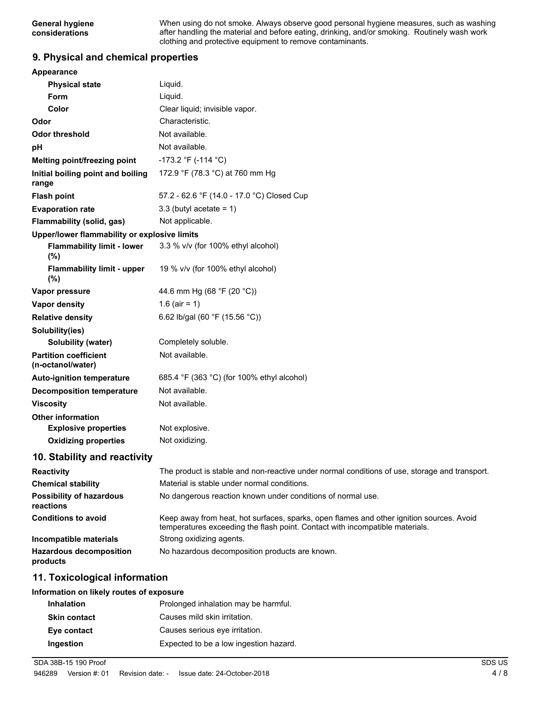When using do not smoke. Always observe good personal hygiene measures, such as washing after handling the material and before eating, drinking, and/or smoking. Routinely wash work clothing and protective equipment to remove contaminants.

### **9. Physical and chemical properties**

| <b>Appearance</b>                                 |                                                                                                                                                                          |
|---------------------------------------------------|--------------------------------------------------------------------------------------------------------------------------------------------------------------------------|
| <b>Physical state</b>                             | Liquid.                                                                                                                                                                  |
| Form                                              | Liquid.                                                                                                                                                                  |
| Color                                             | Clear liquid; invisible vapor.                                                                                                                                           |
| Odor                                              | Characteristic.                                                                                                                                                          |
| <b>Odor threshold</b>                             | Not available.                                                                                                                                                           |
| pH                                                | Not available.                                                                                                                                                           |
| Melting point/freezing point                      | -173.2 °F (-114 °C)                                                                                                                                                      |
| Initial boiling point and boiling<br>range        | 172.9 °F (78.3 °C) at 760 mm Hg                                                                                                                                          |
| <b>Flash point</b>                                | 57.2 - 62.6 °F (14.0 - 17.0 °C) Closed Cup                                                                                                                               |
| <b>Evaporation rate</b>                           | 3.3 (butyl acetate = $1$ )                                                                                                                                               |
| Flammability (solid, gas)                         | Not applicable.                                                                                                                                                          |
| Upper/lower flammability or explosive limits      |                                                                                                                                                                          |
| <b>Flammability limit - lower</b><br>(%)          | 3.3 % v/v (for 100% ethyl alcohol)                                                                                                                                       |
| <b>Flammability limit - upper</b><br>(%)          | 19 % v/v (for 100% ethyl alcohol)                                                                                                                                        |
| Vapor pressure                                    | 44.6 mm Hg (68 °F (20 °C))                                                                                                                                               |
| Vapor density                                     | 1.6 (air = 1)                                                                                                                                                            |
| <b>Relative density</b>                           | 6.62 lb/gal (60 °F (15.56 °C))                                                                                                                                           |
| Solubility(ies)                                   |                                                                                                                                                                          |
| <b>Solubility (water)</b>                         | Completely soluble.                                                                                                                                                      |
| <b>Partition coefficient</b><br>(n-octanol/water) | Not available.                                                                                                                                                           |
| <b>Auto-ignition temperature</b>                  | 685.4 °F (363 °C) (for 100% ethyl alcohol)                                                                                                                               |
| <b>Decomposition temperature</b>                  | Not available.                                                                                                                                                           |
| <b>Viscosity</b>                                  | Not available.                                                                                                                                                           |
| <b>Other information</b>                          |                                                                                                                                                                          |
| <b>Explosive properties</b>                       | Not explosive.                                                                                                                                                           |
| <b>Oxidizing properties</b>                       | Not oxidizing.                                                                                                                                                           |
| 10. Stability and reactivity                      |                                                                                                                                                                          |
| <b>Reactivity</b>                                 | The product is stable and non-reactive under normal conditions of use, storage and transport.                                                                            |
| <b>Chemical stability</b>                         | Material is stable under normal conditions.                                                                                                                              |
| <b>Possibility of hazardous</b><br>reactions      | No dangerous reaction known under conditions of normal use.                                                                                                              |
| <b>Conditions to avoid</b>                        | Keep away from heat, hot surfaces, sparks, open flames and other ignition sources. Avoid<br>temperatures exceeding the flash point. Contact with incompatible materials. |
| Incompatible materials                            | Strong oxidizing agents.                                                                                                                                                 |
| <b>Hazardous decomposition</b><br>products        | No hazardous decomposition products are known.                                                                                                                           |

### **11. Toxicological information**

#### **Information on likely routes of exposure**

| <b>Inhalation</b>   | Prolonged inhalation may be harmful.   |
|---------------------|----------------------------------------|
| <b>Skin contact</b> | Causes mild skin irritation.           |
| Eye contact         | Causes serious eye irritation.         |
| <b>Ingestion</b>    | Expected to be a low ingestion hazard. |

SDA 38B-15 190 Proof SDS US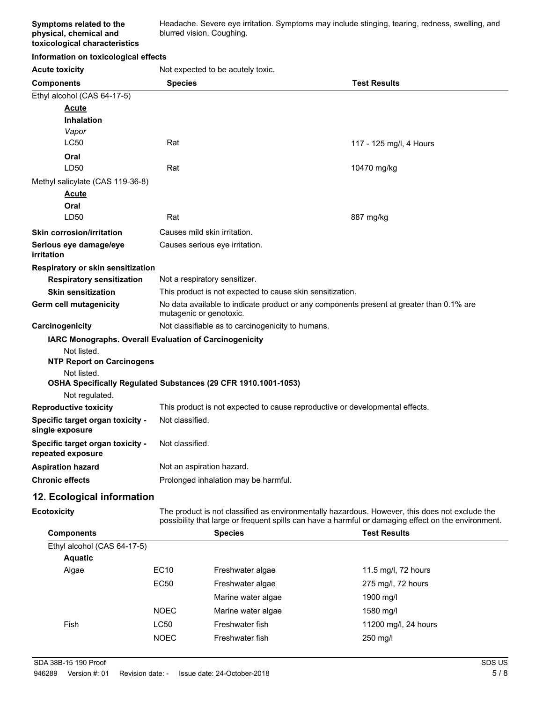Headache. Severe eye irritation. Symptoms may include stinging, tearing, redness, swelling, and blurred vision. Coughing.

#### **Information on toxicological effects**

**Acute toxicity** Not expected to be acutely toxic.

| <b>Components</b>                                                     | <b>Species</b>                                                                                                      | <b>Test Results</b>     |
|-----------------------------------------------------------------------|---------------------------------------------------------------------------------------------------------------------|-------------------------|
| Ethyl alcohol (CAS 64-17-5)                                           |                                                                                                                     |                         |
| Acute                                                                 |                                                                                                                     |                         |
| <b>Inhalation</b>                                                     |                                                                                                                     |                         |
| Vapor                                                                 |                                                                                                                     |                         |
| LC50                                                                  | Rat                                                                                                                 | 117 - 125 mg/l, 4 Hours |
| Oral                                                                  |                                                                                                                     |                         |
| LD50                                                                  | Rat                                                                                                                 | 10470 mg/kg             |
| Methyl salicylate (CAS 119-36-8)                                      |                                                                                                                     |                         |
| Acute                                                                 |                                                                                                                     |                         |
| Oral                                                                  |                                                                                                                     |                         |
| LD50                                                                  | Rat                                                                                                                 | 887 mg/kg               |
| <b>Skin corrosion/irritation</b>                                      | Causes mild skin irritation.                                                                                        |                         |
| Serious eye damage/eye<br>irritation                                  | Causes serious eye irritation.                                                                                      |                         |
| Respiratory or skin sensitization                                     |                                                                                                                     |                         |
| <b>Respiratory sensitization</b>                                      | Not a respiratory sensitizer.                                                                                       |                         |
| <b>Skin sensitization</b>                                             | This product is not expected to cause skin sensitization.                                                           |                         |
| Germ cell mutagenicity                                                | No data available to indicate product or any components present at greater than 0.1% are<br>mutagenic or genotoxic. |                         |
| Carcinogenicity                                                       | Not classifiable as to carcinogenicity to humans.                                                                   |                         |
| IARC Monographs. Overall Evaluation of Carcinogenicity<br>Not listed. |                                                                                                                     |                         |
| <b>NTP Report on Carcinogens</b>                                      |                                                                                                                     |                         |
| Not listed.                                                           |                                                                                                                     |                         |
|                                                                       | OSHA Specifically Regulated Substances (29 CFR 1910.1001-1053)                                                      |                         |
| Not regulated.                                                        |                                                                                                                     |                         |
| <b>Reproductive toxicity</b>                                          | This product is not expected to cause reproductive or developmental effects.                                        |                         |
| Specific target organ toxicity -<br>single exposure                   | Not classified.                                                                                                     |                         |
| Specific target organ toxicity -<br>repeated exposure                 | Not classified.                                                                                                     |                         |
| <b>Aspiration hazard</b>                                              | Not an aspiration hazard.                                                                                           |                         |
| <b>Chronic effects</b>                                                | Prolonged inhalation may be harmful.                                                                                |                         |
| 19 Ecological information                                             |                                                                                                                     |                         |

### **12. Ecological information**

**Ecotoxicity**

The product is not classified as environmentally hazardous. However, this does not exclude the possibility that large or frequent spills can have a harmful or damaging effect on the environment.

| <b>Components</b>           |             | <b>Species</b>     | <b>Test Results</b>  |  |
|-----------------------------|-------------|--------------------|----------------------|--|
| Ethyl alcohol (CAS 64-17-5) |             |                    |                      |  |
| <b>Aquatic</b>              |             |                    |                      |  |
| Algae                       | EC10        | Freshwater algae   | 11.5 mg/l, 72 hours  |  |
|                             | <b>EC50</b> | Freshwater algae   | 275 mg/l, 72 hours   |  |
|                             |             | Marine water algae | 1900 mg/l            |  |
|                             | <b>NOEC</b> | Marine water algae | 1580 mg/l            |  |
| Fish                        | LC50        | Freshwater fish    | 11200 mg/l, 24 hours |  |
|                             | <b>NOEC</b> | Freshwater fish    | 250 mg/l             |  |
|                             |             |                    |                      |  |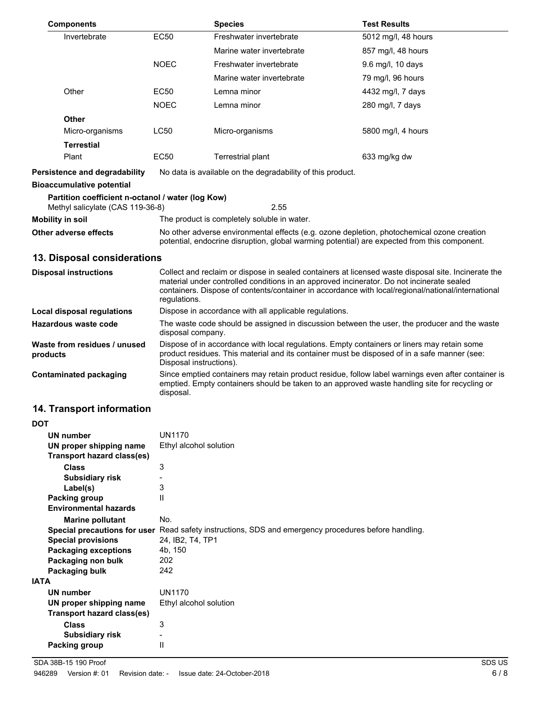| <b>Components</b>                                                                     |                                                                                                                                                                                            | <b>Species</b>                                                                                                                                                                                                                                                                                         | <b>Test Results</b> |
|---------------------------------------------------------------------------------------|--------------------------------------------------------------------------------------------------------------------------------------------------------------------------------------------|--------------------------------------------------------------------------------------------------------------------------------------------------------------------------------------------------------------------------------------------------------------------------------------------------------|---------------------|
| Invertebrate                                                                          | <b>EC50</b>                                                                                                                                                                                | Freshwater invertebrate                                                                                                                                                                                                                                                                                | 5012 mg/l, 48 hours |
|                                                                                       |                                                                                                                                                                                            | Marine water invertebrate                                                                                                                                                                                                                                                                              | 857 mg/l, 48 hours  |
|                                                                                       | <b>NOEC</b>                                                                                                                                                                                | Freshwater invertebrate                                                                                                                                                                                                                                                                                | 9.6 mg/l, 10 days   |
|                                                                                       |                                                                                                                                                                                            | Marine water invertebrate                                                                                                                                                                                                                                                                              | 79 mg/l, 96 hours   |
| Other                                                                                 | <b>EC50</b>                                                                                                                                                                                | Lemna minor                                                                                                                                                                                                                                                                                            | 4432 mg/l, 7 days   |
|                                                                                       | <b>NOEC</b>                                                                                                                                                                                | Lemna minor                                                                                                                                                                                                                                                                                            | 280 mg/l, 7 days    |
| <b>Other</b>                                                                          |                                                                                                                                                                                            |                                                                                                                                                                                                                                                                                                        |                     |
| Micro-organisms                                                                       | <b>LC50</b>                                                                                                                                                                                | Micro-organisms                                                                                                                                                                                                                                                                                        | 5800 mg/l, 4 hours  |
| <b>Terrestial</b>                                                                     |                                                                                                                                                                                            |                                                                                                                                                                                                                                                                                                        |                     |
| Plant                                                                                 | EC50                                                                                                                                                                                       | Terrestrial plant                                                                                                                                                                                                                                                                                      | 633 mg/kg dw        |
| Persistence and degradability                                                         |                                                                                                                                                                                            | No data is available on the degradability of this product.                                                                                                                                                                                                                                             |                     |
| <b>Bioaccumulative potential</b>                                                      |                                                                                                                                                                                            |                                                                                                                                                                                                                                                                                                        |                     |
| Partition coefficient n-octanol / water (log Kow)<br>Methyl salicylate (CAS 119-36-8) |                                                                                                                                                                                            | 2.55                                                                                                                                                                                                                                                                                                   |                     |
| Mobility in soil                                                                      |                                                                                                                                                                                            | The product is completely soluble in water.                                                                                                                                                                                                                                                            |                     |
| Other adverse effects                                                                 | No other adverse environmental effects (e.g. ozone depletion, photochemical ozone creation<br>potential, endocrine disruption, global warming potential) are expected from this component. |                                                                                                                                                                                                                                                                                                        |                     |
| 13. Disposal considerations                                                           |                                                                                                                                                                                            |                                                                                                                                                                                                                                                                                                        |                     |
| <b>Disposal instructions</b>                                                          | regulations.                                                                                                                                                                               | Collect and reclaim or dispose in sealed containers at licensed waste disposal site. Incinerate the<br>material under controlled conditions in an approved incinerator. Do not incinerate sealed<br>containers. Dispose of contents/container in accordance with local/regional/national/international |                     |
|                                                                                       |                                                                                                                                                                                            |                                                                                                                                                                                                                                                                                                        |                     |

**Local disposal regulations** Dispose in accordance with all applicable regulations.

disposal.

| Hazardous waste code                     | The waste code should be assigned in discussion between the user, the producer and the waste<br>disposal company.                                                                                                      |
|------------------------------------------|------------------------------------------------------------------------------------------------------------------------------------------------------------------------------------------------------------------------|
| Waste from residues / unused<br>products | Dispose of in accordance with local regulations. Empty containers or liners may retain some<br>product residues. This material and its container must be disposed of in a safe manner (see:<br>Disposal instructions). |
| Contaminated packaging                   | Since emptied containers may retain product residue, follow label warnings even after container is                                                                                                                     |

emptied. Empty containers should be taken to an approved waste handling site for recycling or

# **14. Transport information**

| <b>DOT</b>  |                                                       |                                                                                                      |
|-------------|-------------------------------------------------------|------------------------------------------------------------------------------------------------------|
|             | UN number                                             | UN1170                                                                                               |
|             | UN proper shipping name<br>Transport hazard class(es) | Ethyl alcohol solution                                                                               |
|             | Class                                                 | 3                                                                                                    |
|             | <b>Subsidiary risk</b>                                |                                                                                                      |
|             | Label(s)                                              | 3                                                                                                    |
|             | Packing group                                         | $\mathsf{II}$                                                                                        |
|             | <b>Environmental hazards</b>                          |                                                                                                      |
|             | <b>Marine pollutant</b>                               | No.                                                                                                  |
|             |                                                       | Special precautions for user Read safety instructions, SDS and emergency procedures before handling. |
|             | <b>Special provisions</b>                             | 24, IB2, T4, TP1                                                                                     |
|             | <b>Packaging exceptions</b>                           | 4b, 150                                                                                              |
|             | Packaging non bulk                                    | 202                                                                                                  |
|             | Packaging bulk                                        | 242                                                                                                  |
| <b>IATA</b> |                                                       |                                                                                                      |
|             | UN number                                             | <b>UN1170</b>                                                                                        |
|             | UN proper shipping name                               | Ethyl alcohol solution                                                                               |
|             | Transport hazard class(es)                            |                                                                                                      |
|             | Class                                                 | 3                                                                                                    |
|             | <b>Subsidiary risk</b>                                | $\overline{\phantom{0}}$                                                                             |
|             | Packing group                                         | $\mathsf{I}$                                                                                         |
|             |                                                       |                                                                                                      |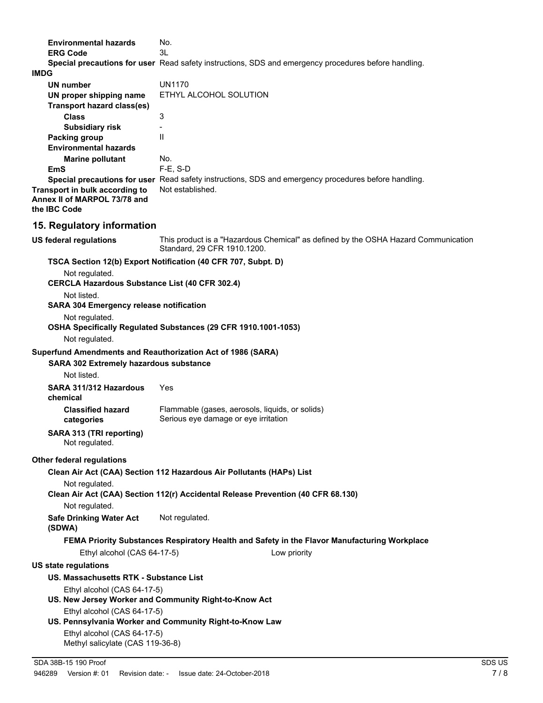| <b>Environmental hazards</b>                                                                                 | No.                                                                                                               |
|--------------------------------------------------------------------------------------------------------------|-------------------------------------------------------------------------------------------------------------------|
| <b>ERG Code</b>                                                                                              | 3L                                                                                                                |
| <b>IMDG</b>                                                                                                  | Special precautions for user Read safety instructions, SDS and emergency procedures before handling.              |
| <b>UN number</b>                                                                                             | <b>UN1170</b>                                                                                                     |
| UN proper shipping name                                                                                      | ETHYL ALCOHOL SOLUTION                                                                                            |
| <b>Transport hazard class(es)</b>                                                                            |                                                                                                                   |
| <b>Class</b>                                                                                                 | 3                                                                                                                 |
| <b>Subsidiary risk</b>                                                                                       |                                                                                                                   |
| <b>Packing group</b>                                                                                         | $\mathbf{H}$                                                                                                      |
| <b>Environmental hazards</b>                                                                                 |                                                                                                                   |
| <b>Marine pollutant</b><br><b>EmS</b>                                                                        | No.<br>$F-E. S-D$                                                                                                 |
|                                                                                                              | Special precautions for user Read safety instructions, SDS and emergency procedures before handling.              |
| Transport in bulk according to<br>Annex II of MARPOL 73/78 and<br>the IBC Code                               | Not established.                                                                                                  |
| 15. Regulatory information                                                                                   |                                                                                                                   |
| <b>US federal regulations</b>                                                                                | This product is a "Hazardous Chemical" as defined by the OSHA Hazard Communication<br>Standard, 29 CFR 1910.1200. |
|                                                                                                              | TSCA Section 12(b) Export Notification (40 CFR 707, Subpt. D)                                                     |
| Not regulated.<br><b>CERCLA Hazardous Substance List (40 CFR 302.4)</b>                                      |                                                                                                                   |
| Not listed.                                                                                                  |                                                                                                                   |
| <b>SARA 304 Emergency release notification</b><br>Not regulated.                                             |                                                                                                                   |
| Not regulated.                                                                                               | OSHA Specifically Regulated Substances (29 CFR 1910.1001-1053)                                                    |
|                                                                                                              |                                                                                                                   |
| Superfund Amendments and Reauthorization Act of 1986 (SARA)<br><b>SARA 302 Extremely hazardous substance</b> |                                                                                                                   |
| Not listed.                                                                                                  |                                                                                                                   |
| SARA 311/312 Hazardous<br>chemical                                                                           | Yes                                                                                                               |
| <b>Classified hazard</b><br>categories                                                                       | Flammable (gases, aerosols, liquids, or solids)<br>Serious eye damage or eye irritation                           |
| SARA 313 (TRI reporting)<br>Not regulated.                                                                   |                                                                                                                   |
| <b>Other federal regulations</b>                                                                             |                                                                                                                   |
|                                                                                                              | Clean Air Act (CAA) Section 112 Hazardous Air Pollutants (HAPs) List                                              |
| Not regulated.                                                                                               | Clean Air Act (CAA) Section 112(r) Accidental Release Prevention (40 CFR 68.130)                                  |
| Not regulated.                                                                                               |                                                                                                                   |
| <b>Safe Drinking Water Act</b><br>(SDWA)                                                                     | Not regulated.                                                                                                    |
|                                                                                                              | FEMA Priority Substances Respiratory Health and Safety in the Flavor Manufacturing Workplace                      |
| Ethyl alcohol (CAS 64-17-5)                                                                                  | Low priority                                                                                                      |
| <b>US state regulations</b>                                                                                  |                                                                                                                   |
| US. Massachusetts RTK - Substance List                                                                       |                                                                                                                   |
| Ethyl alcohol (CAS 64-17-5)                                                                                  | US. New Jersey Worker and Community Right-to-Know Act                                                             |
| Ethyl alcohol (CAS 64-17-5)                                                                                  | US. Pennsylvania Worker and Community Right-to-Know Law                                                           |
| Ethyl alcohol (CAS 64-17-5)<br>Methyl salicylate (CAS 119-36-8)                                              |                                                                                                                   |